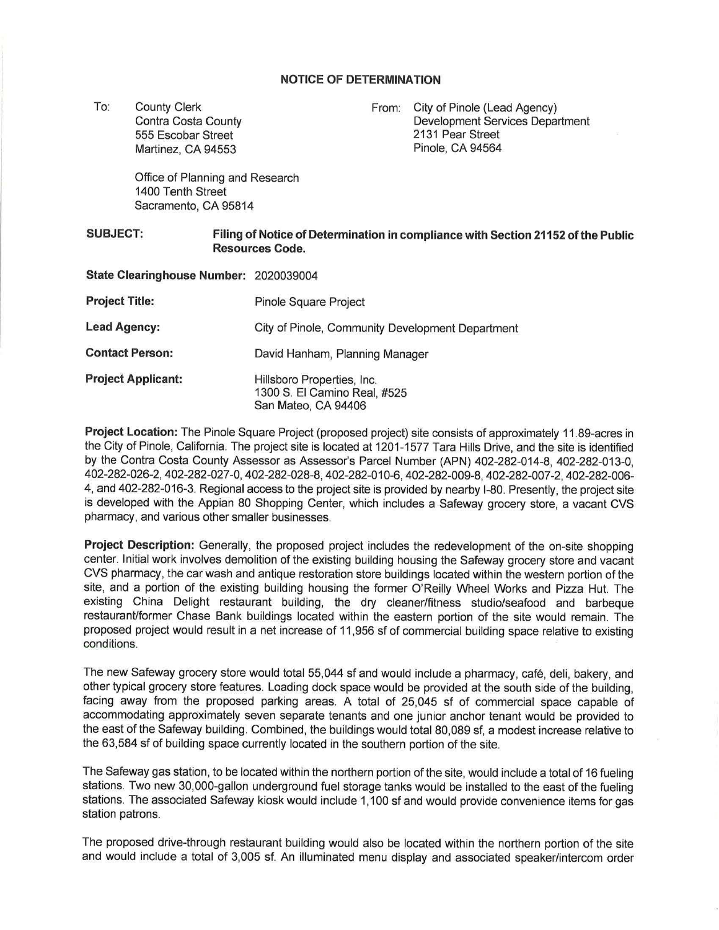## **NOTICE OF DETERMINATION**

To: County Clerk Contra Costa County 555 Escobar Street Martinez, CA 94553

From: City of Pinole (Lead Agency) Development Services Department 2131 Pear Street Pinole, CA 94564

Office of Planning and Research 1400 Tenth Street Sacramento, CA 95814

## **SUBJECT: Filing of Notice of Determination in compliance with Section 21152 of the Public Resources Code.**

| State Clearinghouse Number: 2020039004 |                                                                                   |
|----------------------------------------|-----------------------------------------------------------------------------------|
| <b>Project Title:</b>                  | <b>Pinole Square Project</b>                                                      |
| <b>Lead Agency:</b>                    | City of Pinole, Community Development Department                                  |
| <b>Contact Person:</b>                 | David Hanham, Planning Manager                                                    |
| <b>Project Applicant:</b>              | Hillsboro Properties, Inc.<br>1300 S. El Camino Real, #525<br>San Mateo, CA 94406 |

**Project Location:** The Pinole Square Project (proposed project) site consists of approximately 11.89-acres in the City of Pinole, California. The project site is located at 1201-1577 Tara Hills Drive, and the site is identified by the Contra Costa County Assessor as Assessor's Parcel Number (APN) 402-282-014-8, 402-282-013-0, 402-282-026-2, 402-282-027-0, 402-282-028-8, 402-282-010-6, 402-282-009-8, 402-282-007-2, 402-282-006- 4, and 402-282-016-3. Regional access to the project site is provided by nearby 1-80. Presently, the project site is developed with the Appian 80 Shopping Center, which includes a Safeway grocery store, a vacant CVS pharmacy, and various other smaller businesses.

**Project Description:** Generally, the proposed project includes the redevelopment of the on-site shopping center. Initial work involves demolition of the existing building housing the Safeway grocery store and vacant CVS pharmacy, the car wash and antique restoration store buildings located within the western portion of the site, and a portion of the existing building housing the former O'Reilly Wheel Works and Pizza Hut. The existing China Delight restaurant building, the dry cleaner/fitness studio/seafood and barbeque restaurant/former Chase Bank buildings located within the eastern portion of the site would remain. The proposed project would result in a net increase of 11 ,956 sf of commercial building space relative to existing conditions.

The new Safeway grocery store would total 55,044 sf and would include a pharmacy, cafe, deli, bakery, and other typical grocery store features. Loading dock space would be provided at the south side of the building, facing away from the proposed parking areas. A total of 25,045 sf of commercial space capable of accommodating approximately seven separate tenants and one junior anchor tenant would be provided to the east of the Safeway building. Combined, the buildings would total 80,089 sf, a modest increase relative to the 63,584 sf of building space currently located in the southern portion of the site.

The Safeway gas station, to be located within the northern portion of the site, would include a total of 16 fueling stations. Two new 30,000-gallon underground fuel storage tanks would be installed to the east of the fueling stations. The associated Safeway kiosk would include 1,100 sf and would provide convenience items for gas station patrons.

The proposed drive-through restaurant building would also be located within the northern portion of the site and would include a total of 3,005 sf. An illuminated menu display and associated speaker/intercom order